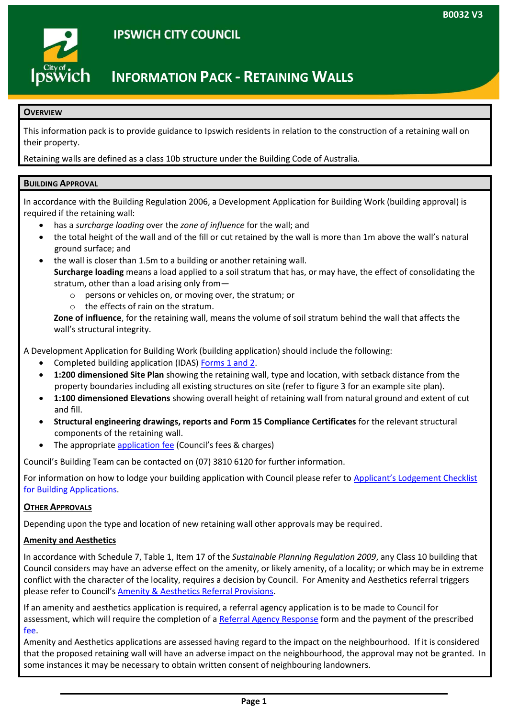

# **IPSWICH CITY COUNCIL**

## **INFORMATION PACK - RETAINING WALLS**

#### **OVERVIEW**

This information pack is to provide guidance to Ipswich residents in relation to the construction of a retaining wall on their property.

Retaining walls are defined as a class 10b structure under the Building Code of Australia.

#### **BUILDING APPROVAL**

In accordance with the Building Regulation 2006, a Development Application for Building Work (building approval) is required if the retaining wall:

- has a *surcharge loading* over the *zone of influence* for the wall; and
- the total height of the wall and of the fill or cut retained by the wall is more than 1m above the wall's natural ground surface; and
- the wall is closer than 1.5m to a building or another retaining wall. **Surcharge loading** means a load applied to a soil stratum that has, or may have, the effect of consolidating the stratum, other than a load arising only from
	- o persons or vehicles on, or moving over, the stratum; or
	- o the effects of rain on the stratum.

**Zone of influence**, for the retaining wall, means the volume of soil stratum behind the wall that affects the wall's structural integrity.

A Development Application for Building Work (building application) should include the following:

- Completed building application (IDAS) [Forms 1 and 2.](http://www.hpw.qld.gov.au/aboutus/ReportsPublications/FormsTemplates/Pages/BuildingForms.aspx)
- **1:200 dimensioned Site Plan** showing the retaining wall, type and location, with setback distance from the property boundaries including all existing structures on site (refer to figure 3 for an example site plan).
- **1:100 dimensioned Elevations** showing overall height of retaining wall from natural ground and extent of cut and fill.
- **Structural engineering drawings, reports and Form 15 Compliance Certificates** for the relevant structural components of the retaining wall.
- The appropriate [application fee](http://www.ipswich.qld.gov.au/about_council/corporate_publications/fees_charges) (Council's fees & charges)

Council's Building Team can be contacted on (07) 3810 6120 for further information.

For information on how to lodge your building application with Council please refer to [Applicant's Lodgement Checklist](http://www.ipswich.qld.gov.au/__data/assets/pdf_file/0005/10211/af_b0006_interactive.pdf)  [for Building Applications.](http://www.ipswich.qld.gov.au/__data/assets/pdf_file/0005/10211/af_b0006_interactive.pdf)

#### **OTHER APPROVALS**

Depending upon the type and location of new retaining wall other approvals may be required.

### **Amenity and Aesthetics**

In accordance with Schedule 7, Table 1, Item 17 of the *Sustainable Planning Regulation 2009*, any Class 10 building that Council considers may have an adverse effect on the amenity, or likely amenity, of a locality; or which may be in extreme conflict with the character of the locality, requires a decision by Council. For Amenity and Aesthetics referral triggers please refer to Council's [Amenity & Aesthetics Referral Provisions.](http://www.ipswich.qld.gov.au/__data/assets/pdf_file/0007/9547/af_b0023.pdf)

If an amenity and aesthetics application is required, a referral agency application is to be made to Council for assessment, which will require the completion of a [Referral Agency Response](http://www.ipswich.qld.gov.au/__data/assets/pdf_file/0009/7488/af_b0001_interactive.pdf) form and the payment of the prescribed [fee.](http://www.ipswich.qld.gov.au/about_council/corporate_publications/fees_charges/)

Amenity and Aesthetics applications are assessed having regard to the impact on the neighbourhood. If it is considered that the proposed retaining wall will have an adverse impact on the neighbourhood, the approval may not be granted. In some instances it may be necessary to obtain written consent of neighbouring landowners.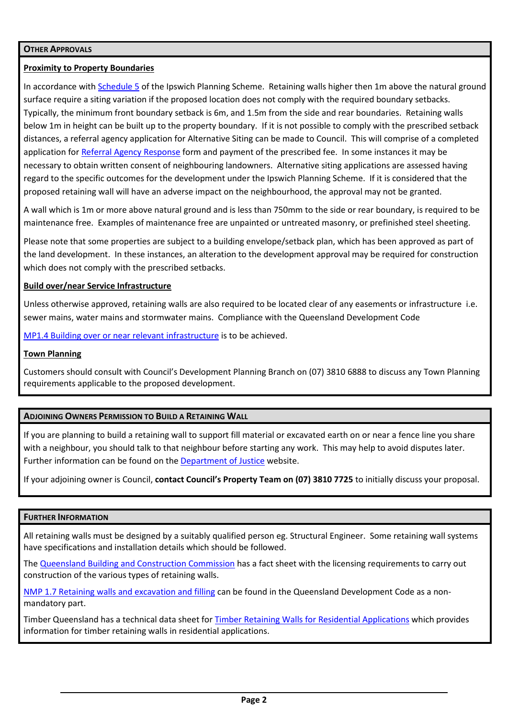#### **OTHER APPROVALS**

#### **Proximity to Property Boundaries**

In accordance with **Schedule 5** of the Ipswich Planning Scheme. Retaining walls higher then 1m above the natural ground surface require a siting variation if the proposed location does not comply with the required boundary setbacks. Typically, the minimum front boundary setback is 6m, and 1.5m from the side and rear boundaries. Retaining walls below 1m in height can be built up to the property boundary. If it is not possible to comply with the prescribed setback distances, a referral agency application for Alternative Siting can be made to Council. This will comprise of a completed application for [Referral Agency Response](http://www.ipswich.qld.gov.au/__data/assets/pdf_file/0009/7488/af_b0001_interactive.pdf) form and payment of the prescribed fee. In some instances it may be necessary to obtain written consent of neighbouring landowners. Alternative siting applications are assessed having regard to the specific outcomes for the development under the Ipswich Planning Scheme. If it is considered that the proposed retaining wall will have an adverse impact on the neighbourhood, the approval may not be granted.

A wall which is 1m or more above natural ground and is less than 750mm to the side or rear boundary, is required to be maintenance free. Examples of maintenance free are unpainted or untreated masonry, or prefinished steel sheeting.

Please note that some properties are subject to a building envelope/setback plan, which has been approved as part of the land development. In these instances, an alteration to the development approval may be required for construction which does not comply with the prescribed setbacks.

#### **Build over/near Service Infrastructure**

Unless otherwise approved, retaining walls are also required to be located clear of any easements or infrastructure i.e. sewer mains, water mains and stormwater mains. Compliance with the Queensland Development Code

[MP1.4 Building over or near relevant infrastructure](http://www.hpw.qld.gov.au/SiteCollectionDocuments/QDCMP1.4BuildingOverOrNearRelevantInfrastructure131213.pdf) is to be achieved.

#### **Town Planning**

Customers should consult with Council's Development Planning Branch on (07) 3810 6888 to discuss any Town Planning requirements applicable to the proposed development.

#### **ADJOINING OWNERS PERMISSION TO BUILD A RETAINING WALL**

If you are planning to build a retaining wall to support fill material or excavated earth on or near a fence line you share with a neighbour, you should talk to that neighbour before starting any work. This may help to avoid disputes later. Further information can be found on th[e Department of Justice](http://www.qld.gov.au/law/housing-and-neighbours/disputes-about-fences-trees-and-buildings/avoiding-fence-tree-and-building-disputes/avoiding-building-disputes/) website.

If your adjoining owner is Council, **contact Council's Property Team on (07) 3810 7725** to initially discuss your proposal.

#### **FURTHER INFORMATION**

All retaining walls must be designed by a suitably qualified person eg. Structural Engineer. Some retaining wall systems have specifications and installation details which should be followed.

The [Queensland Building and Construction Commission](http://www.qbcc.qld.gov.au/sites/default/files/LIS-010%20The%20Construction%20of%20Retaining%20Walls.pdf) has a fact sheet with the licensing requirements to carry out construction of the various types of retaining walls.

[NMP 1.7 Retaining walls and excavation and filling](http://www.hpw.qld.gov.au/SiteCollectionDocuments/nmp-1-7-retaining-walls-and-excavation-and-filling.pdf) can be found in the Queensland Development Code as a nonmandatory part.

Timber Queensland has a technical data sheet fo[r Timber Retaining Walls for](http://www.finlayson.com.au/downloads/pdfs/TQ_TDS/tds_09_Timber-Retaining-Walls_final.pdf) Residential Applications which provides information for timber retaining walls in residential applications.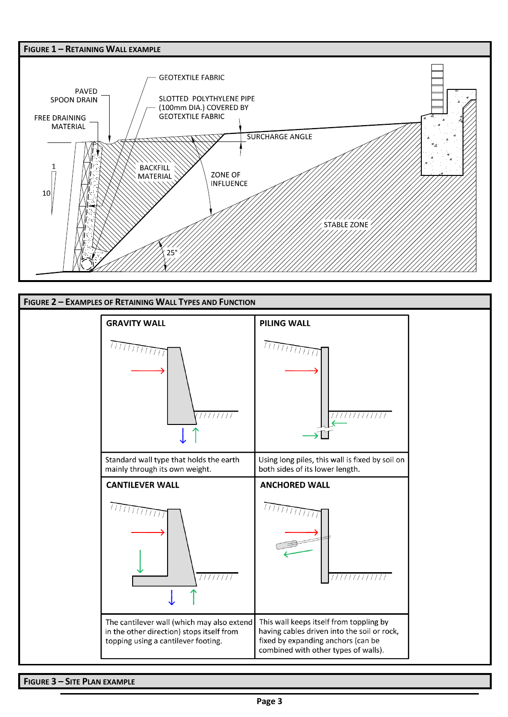